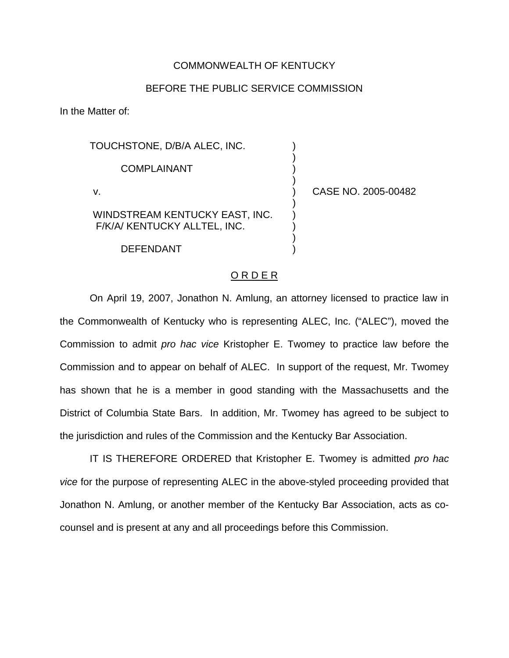## COMMONWEALTH OF KENTUCKY

## BEFORE THE PUBLIC SERVICE COMMISSION

) ) ) )

) ) ) ) )

In the Matter of:

TOUCHSTONE, D/B/A ALEC, INC. COMPLAINANT v. WINDSTREAM KENTUCKY EAST, INC. F/K/A/ KENTUCKY ALLTEL, INC.

DEFENDANT

) CASE NO. 2005-00482

## O R D E R

On April 19, 2007, Jonathon N. Amlung, an attorney licensed to practice law in the Commonwealth of Kentucky who is representing ALEC, Inc. ("ALEC"), moved the Commission to admit *pro hac vice* Kristopher E. Twomey to practice law before the Commission and to appear on behalf of ALEC. In support of the request, Mr. Twomey has shown that he is a member in good standing with the Massachusetts and the District of Columbia State Bars. In addition, Mr. Twomey has agreed to be subject to the jurisdiction and rules of the Commission and the Kentucky Bar Association.

IT IS THEREFORE ORDERED that Kristopher E. Twomey is admitted *pro hac vice* for the purpose of representing ALEC in the above-styled proceeding provided that Jonathon N. Amlung, or another member of the Kentucky Bar Association, acts as cocounsel and is present at any and all proceedings before this Commission.